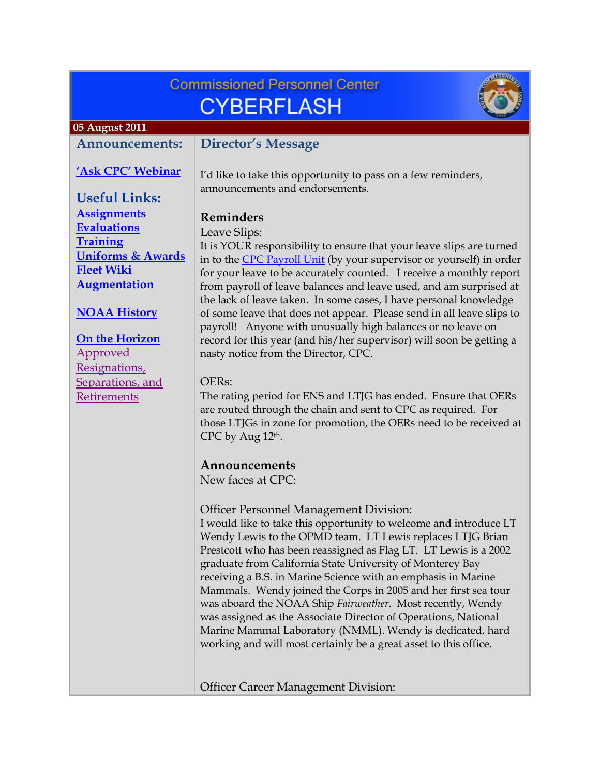# **Commissioned Personnel Center CYBERFLASH**



#### <span id="page-0-0"></span> **05 August 2011**

#### **Announcements:**

#### **['Ask CPC' Webinar](#page-2-0)**

**Director's Message** 

I'd like to take this opportunity to pass on a few reminders, announcements and endorsements.

## **Reminders**

#### Leave Slips:

It is YOUR responsibility to ensure that your leave slips are turned in to the CPC Payroll Unit (by your supervisor or yourself) in order for your leave to be accurately counted. I receive a monthly report from payroll of leave balances and leave used, and am surprised at the lack of leave taken. In some cases, I have personal knowledge of some leave that does not appear. Please send in all leave slips to payroll! Anyone with unusually high balances or no leave on record for this year (and his/her supervisor) will soon be getting a nasty notice from the Director, CPC.

## OERs:

The rating period for ENS and LTJG has ended. Ensure that OERs are routed through the chain and sent to CPC as required. For those LTJGs in zone for promotion, the OERs need to be received at CPC by Aug 12th.

## **Announcements**

New faces at CPC:

Officer Personnel Management Division: I would like to take this opportunity to welcome and introduce LT Wendy Lewis to the OPMD team. LT Lewis replaces LTJG Brian Prestcott who has been reassigned as Flag LT. LT Lewis is a 2002 graduate from California State University of Monterey Bay receiving a B.S. in Marine Science with an emphasis in Marine Mammals. Wendy joined the Corps in 2005 and her first sea tour was aboard the NOAA Ship *Fairweather*. Most recently, Wendy was assigned as the Associate Director of Operations, National Marine Mammal Laboratory (NMML). Wendy is dedicated, hard working and will most certainly be a great asset to this office.

Officer Career Management Division:

**Useful Links: [Assignments](http://www.corpscpc.noaa.gov/careermgmt/assignments.html) [Evaluations](http://www.corpscpc.noaa.gov/careermgmt/evaluation.html) [Training](http://www.corpscpc.noaa.gov/careermgmt/training.html) [Uniforms & Awards](http://www.corpscpc.noaa.gov/perservices/awards.html) [Fleet Wiki](https://www.st.nmfs.noaa.gov/confluence/login.action;jsessionid=F5CC490004E3C050FD4161D63DC843E7?os_destination=%2Fdisplay%2FFleetWiki%2FHome) [Augmentation](http://www.corpscpc.noaa.gov/cpchome/augmentation.html)**

### **[NOAA History](#page-2-0)**

**[On the Horizon](#page-3-0)** Approved Resignations, [Separations, and](#page-4-0) Retirements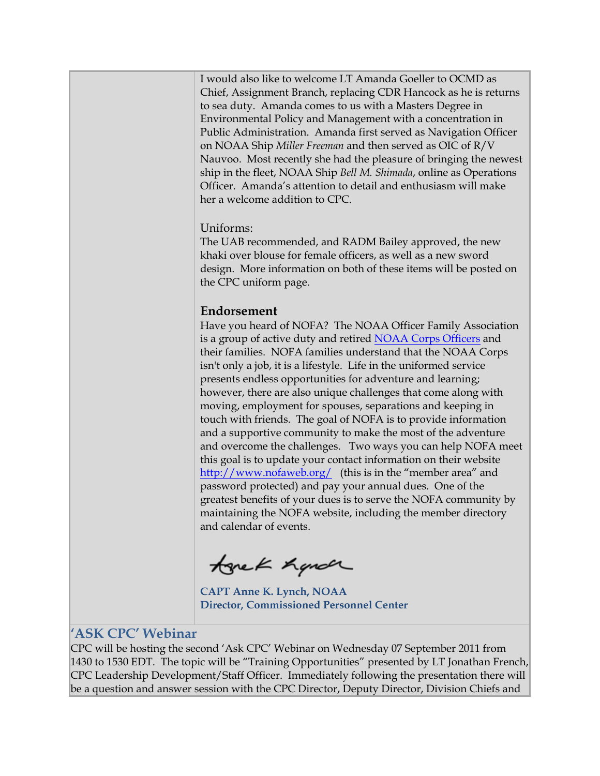<span id="page-1-0"></span>I would also like to welcome LT Amanda Goeller to OCMD as Chief, Assignment Branch, replacing CDR Hancock as he is returns to sea duty. Amanda comes to us with a Masters Degree in Environmental Policy and Management with a concentration in Public Administration. Amanda first served as Navigation Officer on NOAA Ship *Miller Freeman* and then served as OIC of R/V Nauvoo. Most recently she had the pleasure of bringing the newest ship in the fleet, NOAA Ship *Bell M. Shimada*, online as Operations Officer. Amanda's attention to detail and enthusiasm will make her a welcome addition to CPC.

#### Uniforms:

The UAB recommended, and RADM Bailey approved, the new khaki over blouse for female officers, as well as a new sword design. More information on both of these items will be posted on the CPC uniform page.

#### **Endorsement**

Have you heard of NOFA? The NOAA Officer Family Association is a group of active duty and retired NOAA Corps Officers and their families. NOFA families understand that the NOAA Corps isn't only a job, it is a lifestyle. Life in the uniformed service presents endless opportunities for adventure and learning; however, there are also unique challenges that come along with moving, employment for spouses, separations and keeping in touch with friends. The goal of NOFA is to provide information and a supportive community to make the most of the adventure and overcome the challenges. Two ways you can help NOFA meet this goal is to update your contact information on their website http://www.nofaweb.org/ (this is in the "member area" and password protected) and pay your annual dues. One of the greatest benefits of your dues is to serve the NOFA community by maintaining the NOFA website, including the member directory and calendar of events.

tonek hande

**CAPT Anne K. Lynch, NOAA Director, Commissioned Personnel Center** 

## **'ASK CPC' Webinar**

CPC will be hosting the second 'Ask CPC' Webinar on Wednesday 07 September 2011 from 1430 to 1530 EDT. The topic will be "Training Opportunities" presented by LT Jonathan French, CPC Leadership Development/Staff Officer. Immediately following the presentation there will be a question and answer session with the CPC Director, Deputy Director, Division Chiefs and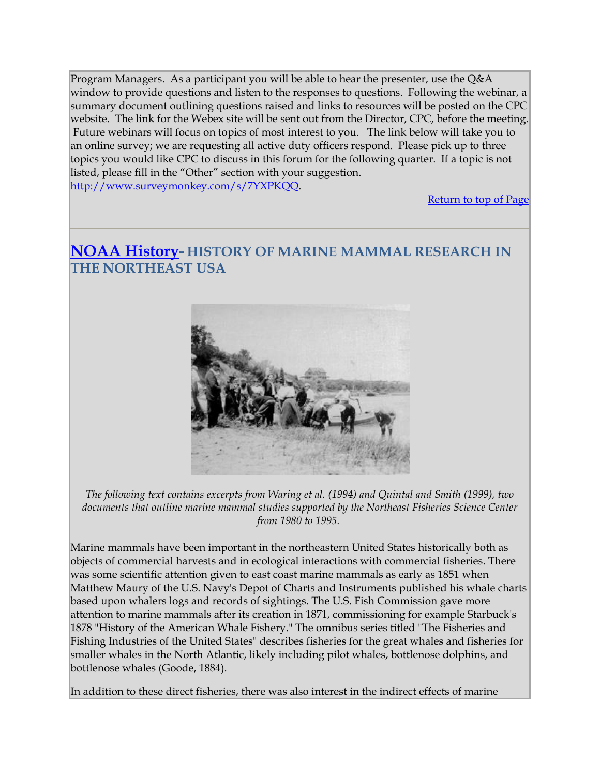<span id="page-2-0"></span>Program Managers. As a participant you will be able to hear the presenter, use the Q&A window to provide questions and listen to the responses to questions. Following the webinar, a summary document outlining questions raised and links to resources will be posted on the CPC website. The link for the Webex site will be sent out from the Director, CPC, before the meeting. Future webinars will focus on topics of most interest to you. The link below will take you to an online survey; we are requesting all active duty officers respond. Please pick up to three topics you would like CPC to discuss in this forum for the following quarter. If a topic is not listed, please fill in the "Other" section with your suggestion. http://www.surveymonkey.com/s/7YXPKQQ.

[Return to top of Page](#page-0-0)

## **NOAA History- HISTORY OF MARINE MAMMAL RESEARCH IN THE NORTHEAST USA**



*The following text contains excerpts from Waring et al. (1994) and Quintal and Smith (1999), two documents that outline marine mammal studies supported by the Northeast Fisheries Science Center from 1980 to 1995.* 

Marine mammals have been important in the northeastern United States historically both as objects of commercial harvests and in ecological interactions with commercial fisheries. There was some scientific attention given to east coast marine mammals as early as 1851 when Matthew Maury of the U.S. Navy's Depot of Charts and Instruments published his whale charts based upon whalers logs and records of sightings. The U.S. Fish Commission gave more attention to marine mammals after its creation in 1871, commissioning for example Starbuck's 1878 "History of the American Whale Fishery." The omnibus series titled "The Fisheries and Fishing Industries of the United States" describes fisheries for the great whales and fisheries for smaller whales in the North Atlantic, likely including pilot whales, bottlenose dolphins, and bottlenose whales (Goode, 1884).

In addition to these direct fisheries, there was also interest in the indirect effects of marine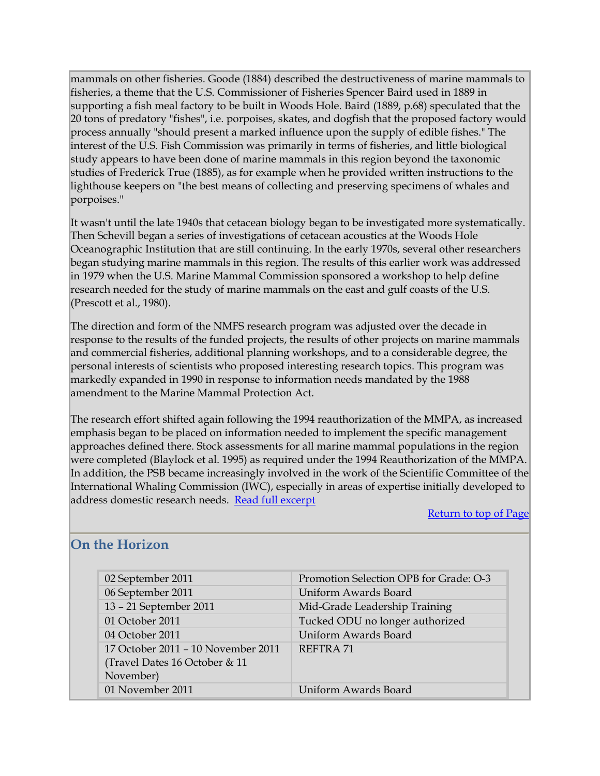<span id="page-3-0"></span>mammals on other fisheries. Goode (1884) described the destructiveness of marine mammals to fisheries, a theme that the U.S. Commissioner of Fisheries Spencer Baird used in 1889 in supporting a fish meal factory to be built in Woods Hole. Baird (1889, p.68) speculated that the 20 tons of predatory "fishes", i.e. porpoises, skates, and dogfish that the proposed factory would process annually "should present a marked influence upon the supply of edible fishes." The interest of the U.S. Fish Commission was primarily in terms of fisheries, and little biological study appears to have been done of marine mammals in this region beyond the taxonomic studies of Frederick True (1885), as for example when he provided written instructions to the lighthouse keepers on "the best means of collecting and preserving specimens of whales and porpoises."

It wasn't until the late 1940s that cetacean biology began to be investigated more systematically. Then Schevill began a series of investigations of cetacean acoustics at the Woods Hole Oceanographic Institution that are still continuing. In the early 1970s, several other researchers began studying marine mammals in this region. The results of this earlier work was addressed in 1979 when the U.S. Marine Mammal Commission sponsored a workshop to help define research needed for the study of marine mammals on the east and gulf coasts of the U.S. (Prescott et al., 1980).

The direction and form of the NMFS research program was adjusted over the decade in response to the results of the funded projects, the results of other projects on marine mammals and commercial fisheries, additional planning workshops, and to a considerable degree, the personal interests of scientists who proposed interesting research topics. This program was markedly expanded in 1990 in response to information needs mandated by the 1988 amendment to the Marine Mammal Protection Act.

The research effort shifted again following the 1994 reauthorization of the MMPA, as increased emphasis began to be placed on information needed to implement the specific management approaches defined there. Stock assessments for all marine mammal populations in the region were completed (Blaylock et al. 1995) as required under the 1994 Reauthorization of the MMPA. In addition, the PSB became increasingly involved in the work of the Scientific Committee of the International Whaling Commission (IWC), especially in areas of expertise initially developed to address domestic research needs. [Read full excerpt](http://www.nefsc.noaa.gov/psb/mhistory.htm)

#### Return to top of Page

## **On the Horizon**

| 02 September 2011                                                                | Promotion Selection OPB for Grade: O-3 |
|----------------------------------------------------------------------------------|----------------------------------------|
| 06 September 2011                                                                | Uniform Awards Board                   |
| 13 - 21 September 2011                                                           | Mid-Grade Leadership Training          |
| 01 October 2011                                                                  | Tucked ODU no longer authorized        |
| 04 October 2011                                                                  | Uniform Awards Board                   |
| 17 October 2011 - 10 November 2011<br>(Travel Dates 16 October & 11<br>November) | REFTRA 71                              |
| 01 November 2011                                                                 | Uniform Awards Board                   |